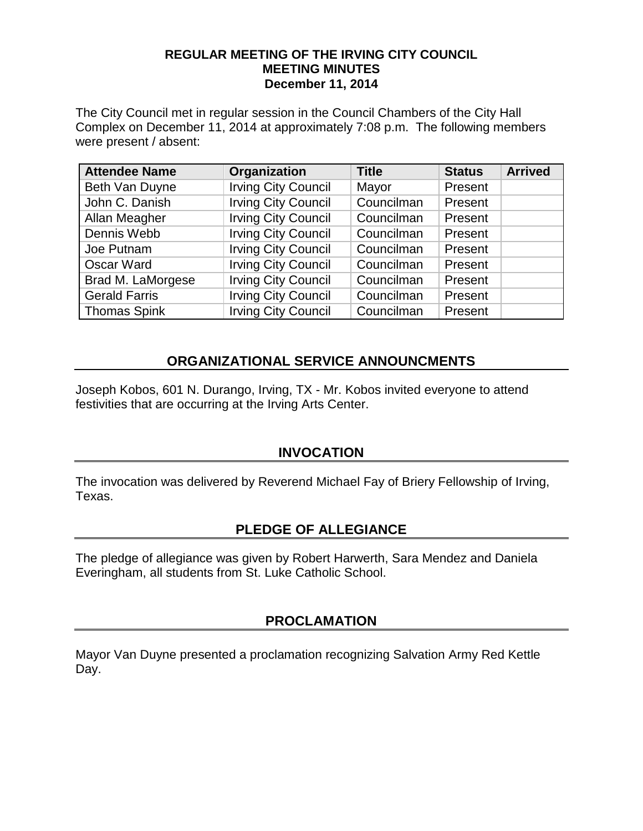#### **REGULAR MEETING OF THE IRVING CITY COUNCIL MEETING MINUTES December 11, 2014**

The City Council met in regular session in the Council Chambers of the City Hall Complex on December 11, 2014 at approximately 7:08 p.m. The following members were present / absent:

| <b>Attendee Name</b> | Organization               | <b>Title</b> | <b>Status</b> | <b>Arrived</b> |
|----------------------|----------------------------|--------------|---------------|----------------|
| Beth Van Duyne       | <b>Irving City Council</b> | Mayor        | Present       |                |
| John C. Danish       | <b>Irving City Council</b> | Councilman   | Present       |                |
| Allan Meagher        | <b>Irving City Council</b> | Councilman   | Present       |                |
| Dennis Webb          | <b>Irving City Council</b> | Councilman   | Present       |                |
| Joe Putnam           | <b>Irving City Council</b> | Councilman   | Present       |                |
| Oscar Ward           | <b>Irving City Council</b> | Councilman   | Present       |                |
| Brad M. LaMorgese    | <b>Irving City Council</b> | Councilman   | Present       |                |
| <b>Gerald Farris</b> | <b>Irving City Council</b> | Councilman   | Present       |                |
| <b>Thomas Spink</b>  | <b>Irving City Council</b> | Councilman   | Present       |                |

# **ORGANIZATIONAL SERVICE ANNOUNCMENTS**

Joseph Kobos, 601 N. Durango, Irving, TX - Mr. Kobos invited everyone to attend festivities that are occurring at the Irving Arts Center.

### **INVOCATION**

The invocation was delivered by Reverend Michael Fay of Briery Fellowship of Irving, Texas.

# **PLEDGE OF ALLEGIANCE**

The pledge of allegiance was given by Robert Harwerth, Sara Mendez and Daniela Everingham, all students from St. Luke Catholic School.

### **PROCLAMATION**

Mayor Van Duyne presented a proclamation recognizing Salvation Army Red Kettle Day.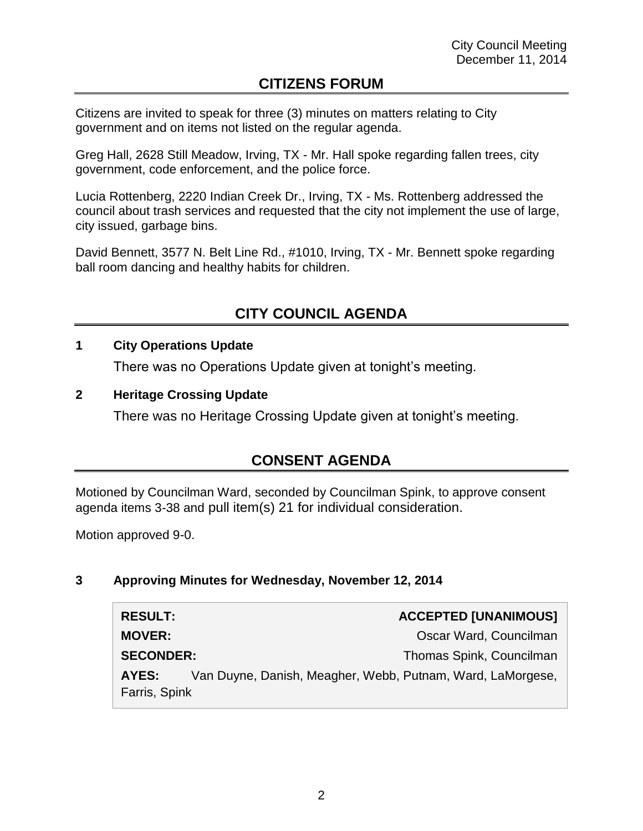# **CITIZENS FORUM**

Citizens are invited to speak for three (3) minutes on matters relating to City government and on items not listed on the regular agenda.

Greg Hall, 2628 Still Meadow, Irving, TX - Mr. Hall spoke regarding fallen trees, city government, code enforcement, and the police force.

Lucia Rottenberg, 2220 Indian Creek Dr., Irving, TX - Ms. Rottenberg addressed the council about trash services and requested that the city not implement the use of large, city issued, garbage bins.

David Bennett, 3577 N. Belt Line Rd., #1010, Irving, TX - Mr. Bennett spoke regarding ball room dancing and healthy habits for children.

# **CITY COUNCIL AGENDA**

### **1 City Operations Update**

There was no Operations Update given at tonight's meeting.

#### **2 Heritage Crossing Update**

There was no Heritage Crossing Update given at tonight's meeting.

# **CONSENT AGENDA**

Motioned by Councilman Ward, seconded by Councilman Spink, to approve consent agenda items 3-38 and pull item(s) 21 for individual consideration.

Motion approved 9-0.

### **3 Approving Minutes for Wednesday, November 12, 2014**

| <b>RESULT:</b>   |                                                            | <b>ACCEPTED [UNANIMOUS]</b> |
|------------------|------------------------------------------------------------|-----------------------------|
| <b>MOVER:</b>    |                                                            | Oscar Ward, Councilman      |
| <b>SECONDER:</b> |                                                            | Thomas Spink, Councilman    |
| AYES:            | Van Duyne, Danish, Meagher, Webb, Putnam, Ward, LaMorgese, |                             |
| Farris, Spink    |                                                            |                             |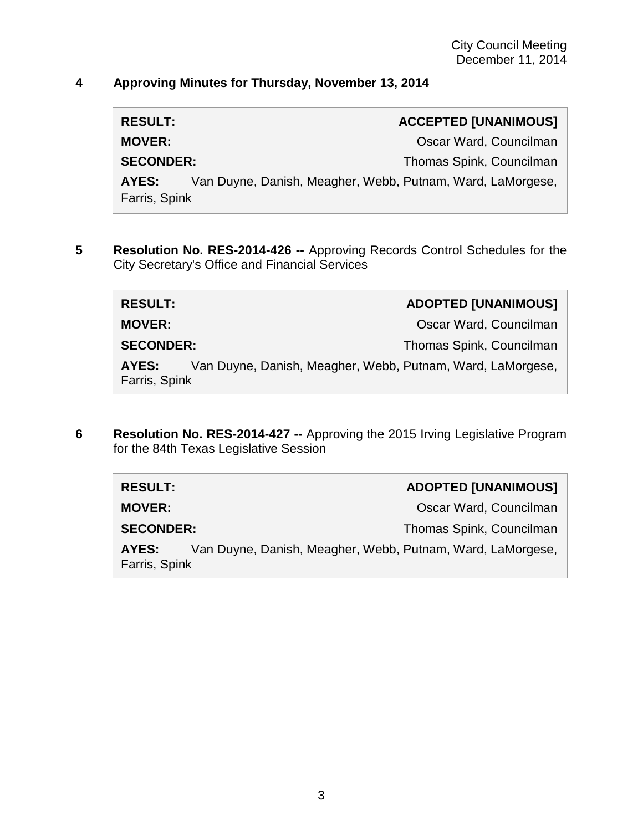### **4 Approving Minutes for Thursday, November 13, 2014**

| <b>RESULT:</b>   |                                                            | <b>ACCEPTED [UNANIMOUS]</b> |
|------------------|------------------------------------------------------------|-----------------------------|
| <b>MOVER:</b>    |                                                            | Oscar Ward, Councilman      |
| <b>SECONDER:</b> |                                                            | Thomas Spink, Councilman    |
| AYES:            | Van Duyne, Danish, Meagher, Webb, Putnam, Ward, LaMorgese, |                             |
| Farris, Spink    |                                                            |                             |

**5 Resolution No. RES-2014-426 --** Approving Records Control Schedules for the City Secretary's Office and Financial Services

| <b>RESULT:</b> | <b>ADOPTED [UNANIMOUS]</b> |
|----------------|----------------------------|
| <b>MOVER:</b>  | Oscar Ward, Councilman     |

**SECONDER:** Thomas Spink, Councilman

**AYES:** Van Duyne, Danish, Meagher, Webb, Putnam, Ward, LaMorgese, Farris, Spink

**6 Resolution No. RES-2014-427 --** Approving the 2015 Irving Legislative Program for the 84th Texas Legislative Session

| <b>RESULT:</b>         | <b>ADOPTED [UNANIMOUS]</b>                                 |
|------------------------|------------------------------------------------------------|
| <b>MOVER:</b>          | Oscar Ward, Councilman                                     |
| <b>SECONDER:</b>       | Thomas Spink, Councilman                                   |
| AYES:<br>Farris, Spink | Van Duyne, Danish, Meagher, Webb, Putnam, Ward, LaMorgese, |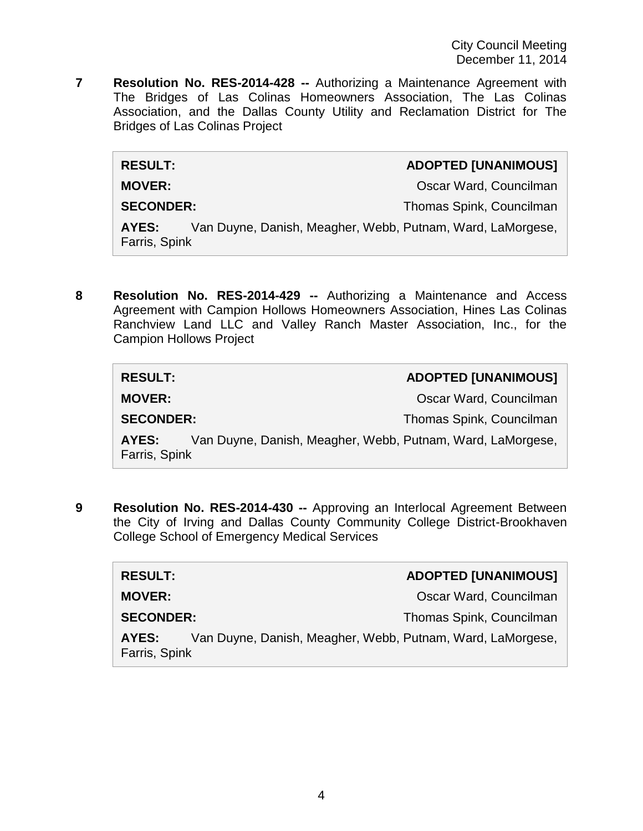**7 Resolution No. RES-2014-428 --** Authorizing a Maintenance Agreement with The Bridges of Las Colinas Homeowners Association, The Las Colinas Association, and the Dallas County Utility and Reclamation District for The Bridges of Las Colinas Project

#### **RESULT: ADOPTED [UNANIMOUS]**

**MOVER: MOVER: Oscar Ward, Councilman** 

**SECONDER:** Thomas Spink, Councilman

**AYES:** Van Duyne, Danish, Meagher, Webb, Putnam, Ward, LaMorgese, Farris, Spink

**8 Resolution No. RES-2014-429 --** Authorizing a Maintenance and Access Agreement with Campion Hollows Homeowners Association, Hines Las Colinas Ranchview Land LLC and Valley Ranch Master Association, Inc., for the Campion Hollows Project

| <b>RESULT:</b>         | <b>ADOPTED [UNANIMOUS]</b>                                 |
|------------------------|------------------------------------------------------------|
| <b>MOVER:</b>          | Oscar Ward, Councilman                                     |
| <b>SECONDER:</b>       | Thomas Spink, Councilman                                   |
| AYES:<br>Farris, Spink | Van Duyne, Danish, Meagher, Webb, Putnam, Ward, LaMorgese, |

**9 Resolution No. RES-2014-430 --** Approving an Interlocal Agreement Between the City of Irving and Dallas County Community College District-Brookhaven College School of Emergency Medical Services

| <b>RESULT:</b>         | <b>ADOPTED [UNANIMOUS]</b>                                 |
|------------------------|------------------------------------------------------------|
| <b>MOVER:</b>          | Oscar Ward, Councilman                                     |
| <b>SECONDER:</b>       | Thomas Spink, Councilman                                   |
| AYES:<br>Farris, Spink | Van Duyne, Danish, Meagher, Webb, Putnam, Ward, LaMorgese, |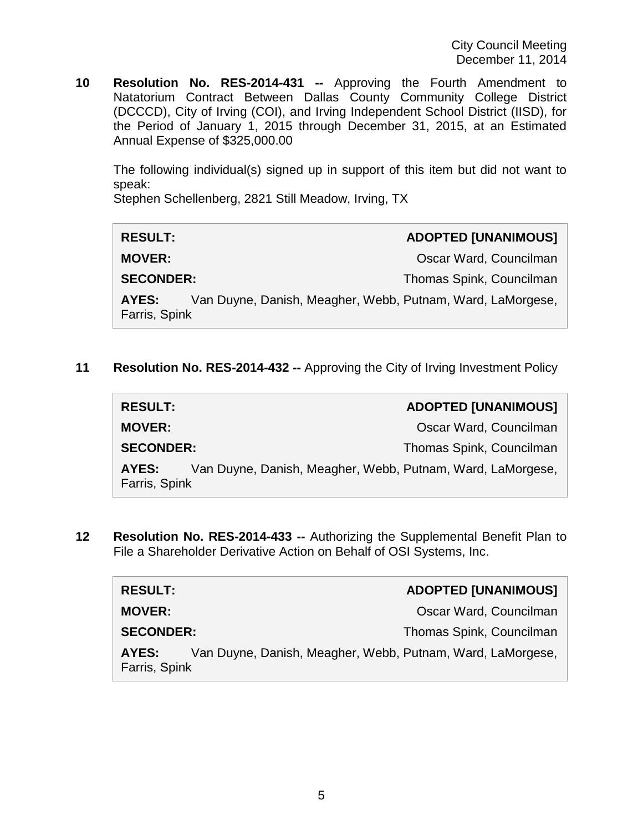**10 Resolution No. RES-2014-431 --** Approving the Fourth Amendment to Natatorium Contract Between Dallas County Community College District (DCCCD), City of Irving (COI), and Irving Independent School District (IISD), for the Period of January 1, 2015 through December 31, 2015, at an Estimated Annual Expense of \$325,000.00

The following individual(s) signed up in support of this item but did not want to speak:

Stephen Schellenberg, 2821 Still Meadow, Irving, TX

| <b>RESULT:</b>         | <b>ADOPTED [UNANIMOUS]</b>                                 |
|------------------------|------------------------------------------------------------|
| <b>MOVER:</b>          | Oscar Ward, Councilman                                     |
| <b>SECONDER:</b>       | Thomas Spink, Councilman                                   |
| AYES:<br>Farris, Spink | Van Duyne, Danish, Meagher, Webb, Putnam, Ward, LaMorgese, |

**11 Resolution No. RES-2014-432 --** Approving the City of Irving Investment Policy

| <b>RESULT:</b>         |                                                            | <b>ADOPTED [UNANIMOUS]</b> |
|------------------------|------------------------------------------------------------|----------------------------|
| <b>MOVER:</b>          |                                                            | Oscar Ward, Councilman     |
| <b>SECONDER:</b>       |                                                            | Thomas Spink, Councilman   |
| AYES:<br>Farris, Spink | Van Duyne, Danish, Meagher, Webb, Putnam, Ward, LaMorgese, |                            |

**12 Resolution No. RES-2014-433 --** Authorizing the Supplemental Benefit Plan to File a Shareholder Derivative Action on Behalf of OSI Systems, Inc.

| <b>RESULT:</b>         | <b>ADOPTED [UNANIMOUS]</b>                                 |
|------------------------|------------------------------------------------------------|
| <b>MOVER:</b>          | Oscar Ward, Councilman                                     |
| <b>SECONDER:</b>       | Thomas Spink, Councilman                                   |
| AYES:<br>Farris, Spink | Van Duyne, Danish, Meagher, Webb, Putnam, Ward, LaMorgese, |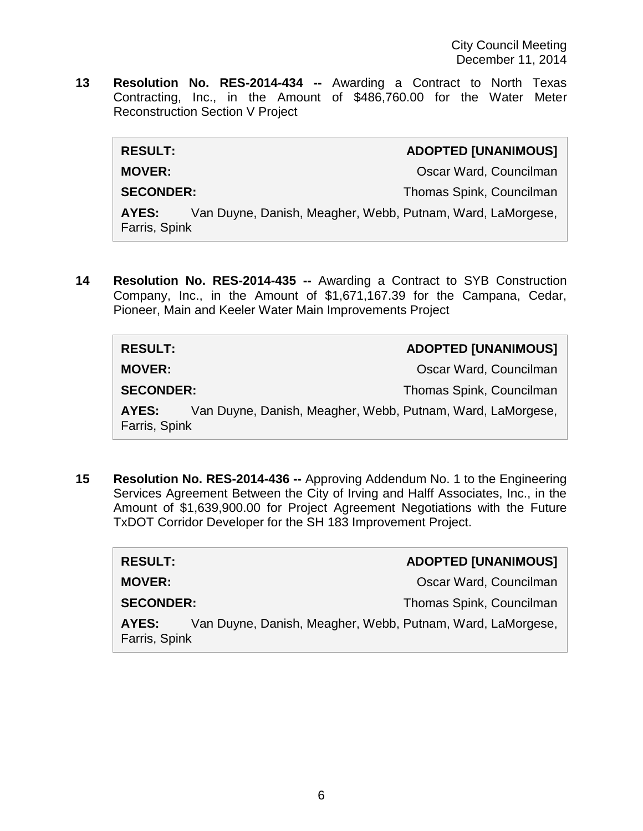**13 Resolution No. RES-2014-434 --** Awarding a Contract to North Texas Contracting, Inc., in the Amount of \$486,760.00 for the Water Meter Reconstruction Section V Project

| <b>RESULT:</b>         | <b>ADOPTED [UNANIMOUS]</b>                                 |
|------------------------|------------------------------------------------------------|
| <b>MOVER:</b>          | Oscar Ward, Councilman                                     |
| <b>SECONDER:</b>       | Thomas Spink, Councilman                                   |
| AYES:<br>Farris, Spink | Van Duyne, Danish, Meagher, Webb, Putnam, Ward, LaMorgese, |

**14 Resolution No. RES-2014-435 --** Awarding a Contract to SYB Construction Company, Inc., in the Amount of \$1,671,167.39 for the Campana, Cedar, Pioneer, Main and Keeler Water Main Improvements Project

| <b>RESULT:</b>         |                                                            | <b>ADOPTED [UNANIMOUS]</b> |
|------------------------|------------------------------------------------------------|----------------------------|
| <b>MOVER:</b>          |                                                            | Oscar Ward, Councilman     |
| <b>SECONDER:</b>       |                                                            | Thomas Spink, Councilman   |
| AYES:<br>Farris, Spink | Van Duyne, Danish, Meagher, Webb, Putnam, Ward, LaMorgese, |                            |

**15 Resolution No. RES-2014-436 --** Approving Addendum No. 1 to the Engineering Services Agreement Between the City of Irving and Halff Associates, Inc., in the Amount of \$1,639,900.00 for Project Agreement Negotiations with the Future TxDOT Corridor Developer for the SH 183 Improvement Project.

| <b>RESULT:</b>                                                                       | <b>ADOPTED [UNANIMOUS]</b> |  |
|--------------------------------------------------------------------------------------|----------------------------|--|
| <b>MOVER:</b>                                                                        | Oscar Ward, Councilman     |  |
| <b>SECONDER:</b>                                                                     | Thomas Spink, Councilman   |  |
| Van Duyne, Danish, Meagher, Webb, Putnam, Ward, LaMorgese,<br>AYES:<br>Farris, Spink |                            |  |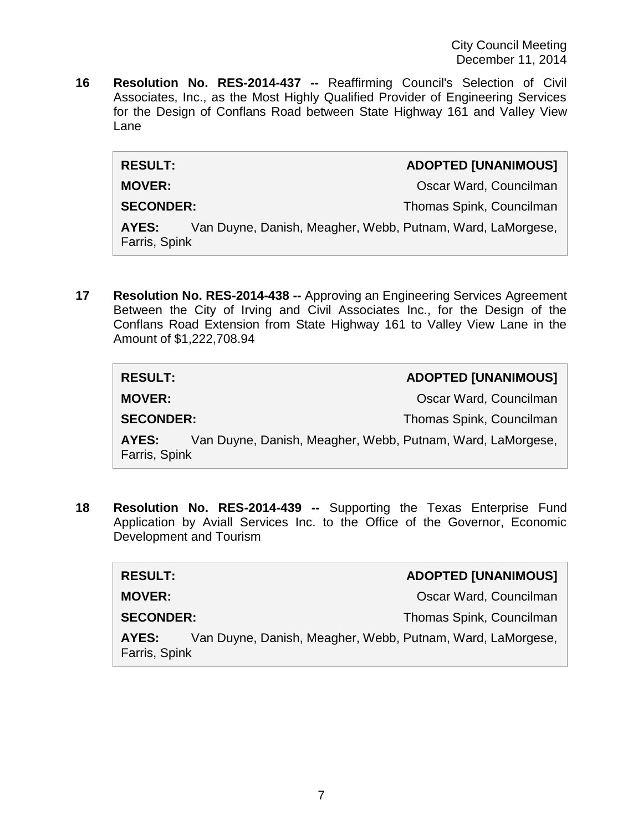**16 Resolution No. RES-2014-437 --** Reaffirming Council's Selection of Civil Associates, Inc., as the Most Highly Qualified Provider of Engineering Services for the Design of Conflans Road between State Highway 161 and Valley View Lane

| <b>RESULT:</b>         |                                                            | <b>ADOPTED [UNANIMOUS]</b> |
|------------------------|------------------------------------------------------------|----------------------------|
| <b>MOVER:</b>          |                                                            | Oscar Ward, Councilman     |
| <b>SECONDER:</b>       |                                                            | Thomas Spink, Councilman   |
| AYES:<br>Farris, Spink | Van Duyne, Danish, Meagher, Webb, Putnam, Ward, LaMorgese, |                            |

**17 Resolution No. RES-2014-438 --** Approving an Engineering Services Agreement Between the City of Irving and Civil Associates Inc., for the Design of the Conflans Road Extension from State Highway 161 to Valley View Lane in the Amount of \$1,222,708.94

| <b>RESULT:</b>         | <b>ADOPTED [UNANIMOUS]</b>                                 |
|------------------------|------------------------------------------------------------|
| <b>MOVER:</b>          | Oscar Ward, Councilman                                     |
| <b>SECONDER:</b>       | Thomas Spink, Councilman                                   |
| AYES:<br>Farris, Spink | Van Duyne, Danish, Meagher, Webb, Putnam, Ward, LaMorgese, |

**18 Resolution No. RES-2014-439 --** Supporting the Texas Enterprise Fund Application by Aviall Services Inc. to the Office of the Governor, Economic Development and Tourism

| <b>RESULT:</b>                                                                       | <b>ADOPTED [UNANIMOUS]</b> |
|--------------------------------------------------------------------------------------|----------------------------|
| <b>MOVER:</b>                                                                        | Oscar Ward, Councilman     |
| <b>SECONDER:</b>                                                                     | Thomas Spink, Councilman   |
| Van Duyne, Danish, Meagher, Webb, Putnam, Ward, LaMorgese,<br>AYES:<br>Farris, Spink |                            |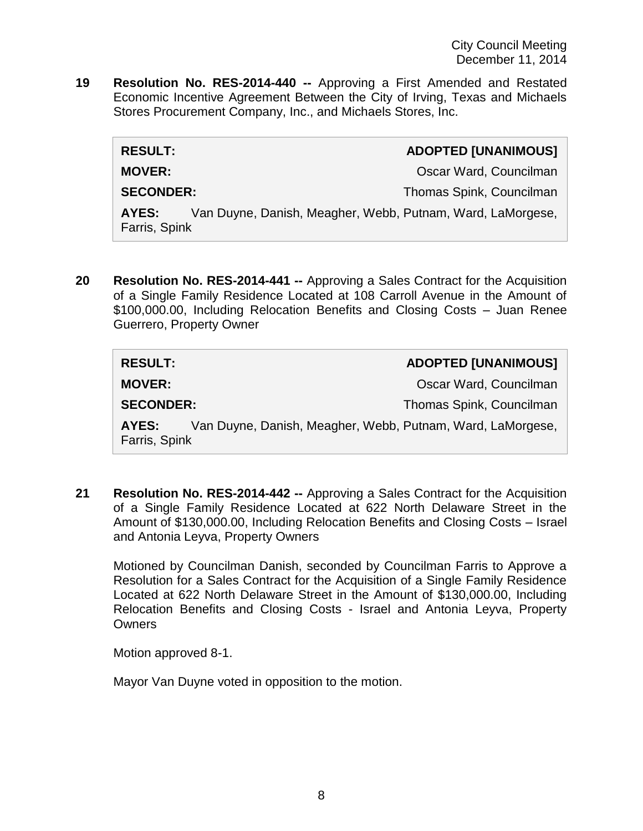**19 Resolution No. RES-2014-440 --** Approving a First Amended and Restated Economic Incentive Agreement Between the City of Irving, Texas and Michaels Stores Procurement Company, Inc., and Michaels Stores, Inc.

| <b>RESULT:</b>         | <b>ADOPTED [UNANIMOUS]</b>                                 |
|------------------------|------------------------------------------------------------|
| <b>MOVER:</b>          | Oscar Ward, Councilman                                     |
| <b>SECONDER:</b>       | Thomas Spink, Councilman                                   |
| AYES:<br>Farris, Spink | Van Duyne, Danish, Meagher, Webb, Putnam, Ward, LaMorgese, |

**20 Resolution No. RES-2014-441 --** Approving a Sales Contract for the Acquisition of a Single Family Residence Located at 108 Carroll Avenue in the Amount of \$100,000.00, Including Relocation Benefits and Closing Costs – Juan Renee Guerrero, Property Owner

| <b>RESULT:</b>                                                                       | <b>ADOPTED [UNANIMOUS]</b> |
|--------------------------------------------------------------------------------------|----------------------------|
| <b>MOVER:</b>                                                                        | Oscar Ward, Councilman     |
| <b>SECONDER:</b>                                                                     | Thomas Spink, Councilman   |
| Van Duyne, Danish, Meagher, Webb, Putnam, Ward, LaMorgese,<br>AYES:<br>Farris, Spink |                            |

**21 Resolution No. RES-2014-442 --** Approving a Sales Contract for the Acquisition of a Single Family Residence Located at 622 North Delaware Street in the Amount of \$130,000.00, Including Relocation Benefits and Closing Costs – Israel and Antonia Leyva, Property Owners

Motioned by Councilman Danish, seconded by Councilman Farris to Approve a Resolution for a Sales Contract for the Acquisition of a Single Family Residence Located at 622 North Delaware Street in the Amount of \$130,000.00, Including Relocation Benefits and Closing Costs - Israel and Antonia Leyva, Property **Owners** 

Motion approved 8-1.

Mayor Van Duyne voted in opposition to the motion.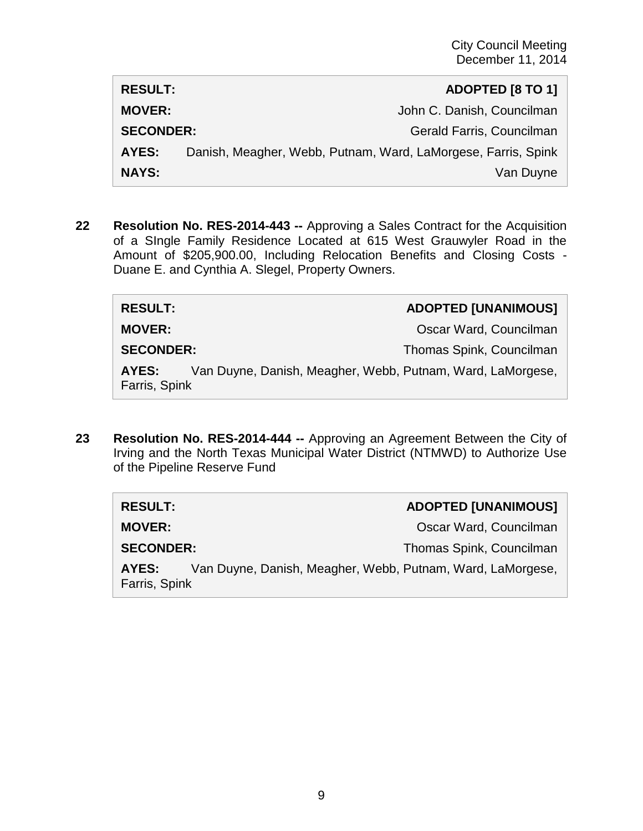| <b>RESULT:</b>   | ADOPTED [8 TO 1]                                              |
|------------------|---------------------------------------------------------------|
| <b>MOVER:</b>    | John C. Danish, Councilman                                    |
| <b>SECONDER:</b> | Gerald Farris, Councilman                                     |
| AYES:            | Danish, Meagher, Webb, Putnam, Ward, LaMorgese, Farris, Spink |
| <b>NAYS:</b>     | Van Duyne                                                     |

**22 Resolution No. RES-2014-443 --** Approving a Sales Contract for the Acquisition of a SIngle Family Residence Located at 615 West Grauwyler Road in the Amount of \$205,900.00, Including Relocation Benefits and Closing Costs - Duane E. and Cynthia A. Slegel, Property Owners.

| <b>RESULT:</b>         |                                                            | <b>ADOPTED [UNANIMOUS]</b> |
|------------------------|------------------------------------------------------------|----------------------------|
| <b>MOVER:</b>          |                                                            | Oscar Ward, Councilman     |
| <b>SECONDER:</b>       |                                                            | Thomas Spink, Councilman   |
| AYES:<br>Farris, Spink | Van Duyne, Danish, Meagher, Webb, Putnam, Ward, LaMorgese, |                            |

**23 Resolution No. RES-2014-444 --** Approving an Agreement Between the City of Irving and the North Texas Municipal Water District (NTMWD) to Authorize Use of the Pipeline Reserve Fund

| <b>RESULT:</b>                                                                       | <b>ADOPTED [UNANIMOUS]</b> |
|--------------------------------------------------------------------------------------|----------------------------|
| <b>MOVER:</b>                                                                        | Oscar Ward, Councilman     |
| <b>SECONDER:</b>                                                                     | Thomas Spink, Councilman   |
| Van Duyne, Danish, Meagher, Webb, Putnam, Ward, LaMorgese,<br>AYES:<br>Farris, Spink |                            |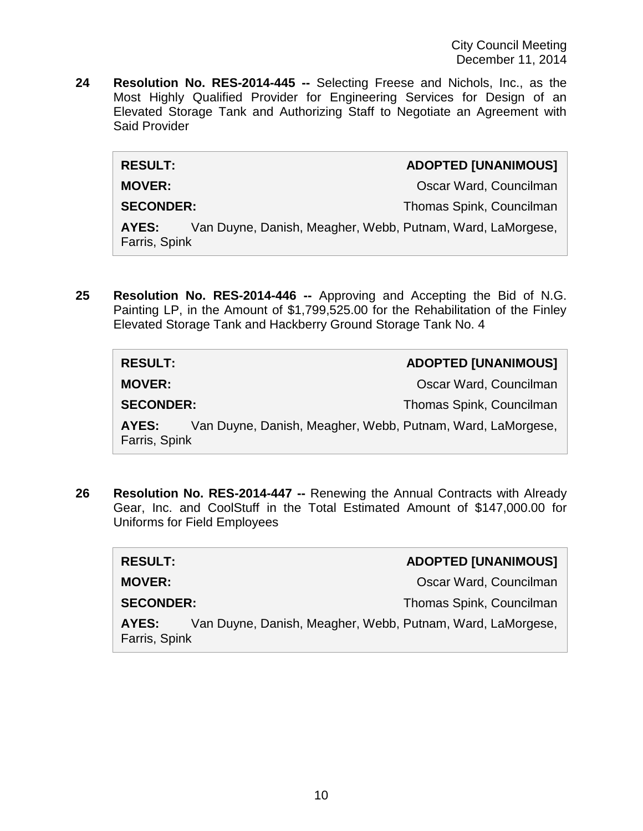**24 Resolution No. RES-2014-445 --** Selecting Freese and Nichols, Inc., as the Most Highly Qualified Provider for Engineering Services for Design of an Elevated Storage Tank and Authorizing Staff to Negotiate an Agreement with Said Provider

| <b>RESULT:</b>    | <b>ADOPTED [UNANIMOUS]</b> |
|-------------------|----------------------------|
| <b>MOVER:</b>     | Oscar Ward, Councilman     |
| $\left\{ \right.$ |                            |

**SECONDER:** Thomas Spink, Councilman

**AYES:** Van Duyne, Danish, Meagher, Webb, Putnam, Ward, LaMorgese, Farris, Spink

**25 Resolution No. RES-2014-446 --** Approving and Accepting the Bid of N.G. Painting LP, in the Amount of \$1,799,525.00 for the Rehabilitation of the Finley Elevated Storage Tank and Hackberry Ground Storage Tank No. 4

| <b>RESULT:</b>                                                                       | <b>ADOPTED [UNANIMOUS]</b> |
|--------------------------------------------------------------------------------------|----------------------------|
| <b>MOVER:</b>                                                                        | Oscar Ward, Councilman     |
| <b>SECONDER:</b>                                                                     | Thomas Spink, Councilman   |
| Van Duyne, Danish, Meagher, Webb, Putnam, Ward, LaMorgese,<br>AYES:<br>Farris, Spink |                            |

**26 Resolution No. RES-2014-447 --** Renewing the Annual Contracts with Already Gear, Inc. and CoolStuff in the Total Estimated Amount of \$147,000.00 for Uniforms for Field Employees

| <b>RESULT:</b>         | <b>ADOPTED [UNANIMOUS]</b>                                 |
|------------------------|------------------------------------------------------------|
| <b>MOVER:</b>          | Oscar Ward, Councilman                                     |
| <b>SECONDER:</b>       | Thomas Spink, Councilman                                   |
| AYES:<br>Farris, Spink | Van Duyne, Danish, Meagher, Webb, Putnam, Ward, LaMorgese, |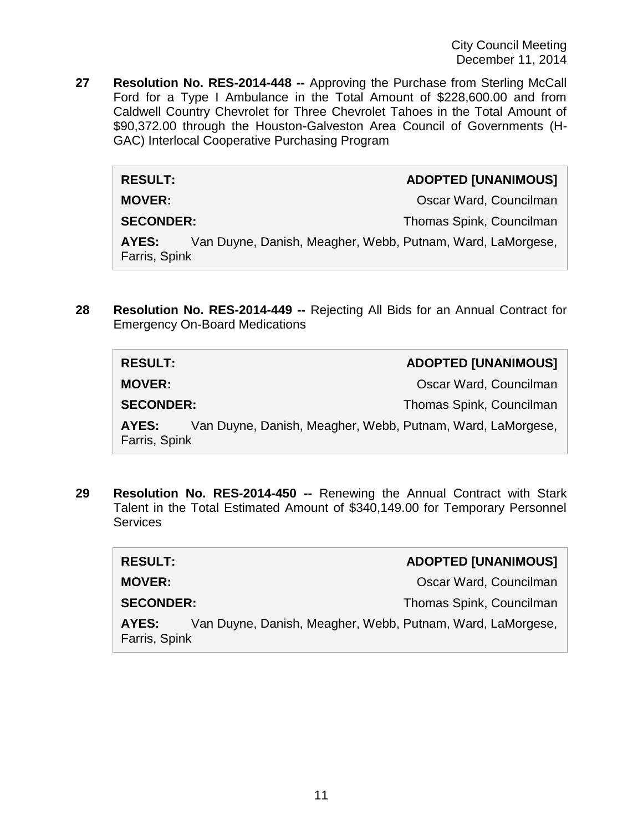**27 Resolution No. RES-2014-448 --** Approving the Purchase from Sterling McCall Ford for a Type I Ambulance in the Total Amount of \$228,600.00 and from Caldwell Country Chevrolet for Three Chevrolet Tahoes in the Total Amount of \$90,372.00 through the Houston-Galveston Area Council of Governments (H-GAC) Interlocal Cooperative Purchasing Program

| <b>RESULT:</b> | <b>ADOPTED [UNANIMOUS]</b> |
|----------------|----------------------------|
| <b>MOVER:</b>  | Oscar Ward, Councilman     |

**SECONDER:** Thomas Spink, Councilman

**AYES:** Van Duyne, Danish, Meagher, Webb, Putnam, Ward, LaMorgese, Farris, Spink

**28 Resolution No. RES-2014-449 --** Rejecting All Bids for an Annual Contract for Emergency On-Board Medications

| <b>RESULT:</b>                                                                       | <b>ADOPTED [UNANIMOUS]</b> |
|--------------------------------------------------------------------------------------|----------------------------|
| <b>MOVER:</b>                                                                        | Oscar Ward, Councilman     |
| <b>SECONDER:</b>                                                                     | Thomas Spink, Councilman   |
| Van Duyne, Danish, Meagher, Webb, Putnam, Ward, LaMorgese,<br>AYES:<br>Farris, Spink |                            |

**29 Resolution No. RES-2014-450 --** Renewing the Annual Contract with Stark Talent in the Total Estimated Amount of \$340,149.00 for Temporary Personnel **Services** 

| <b>RESULT:</b>         | <b>ADOPTED [UNANIMOUS]</b>                                 |
|------------------------|------------------------------------------------------------|
| <b>MOVER:</b>          | Oscar Ward, Councilman                                     |
| <b>SECONDER:</b>       | Thomas Spink, Councilman                                   |
| AYES:<br>Farris, Spink | Van Duyne, Danish, Meagher, Webb, Putnam, Ward, LaMorgese, |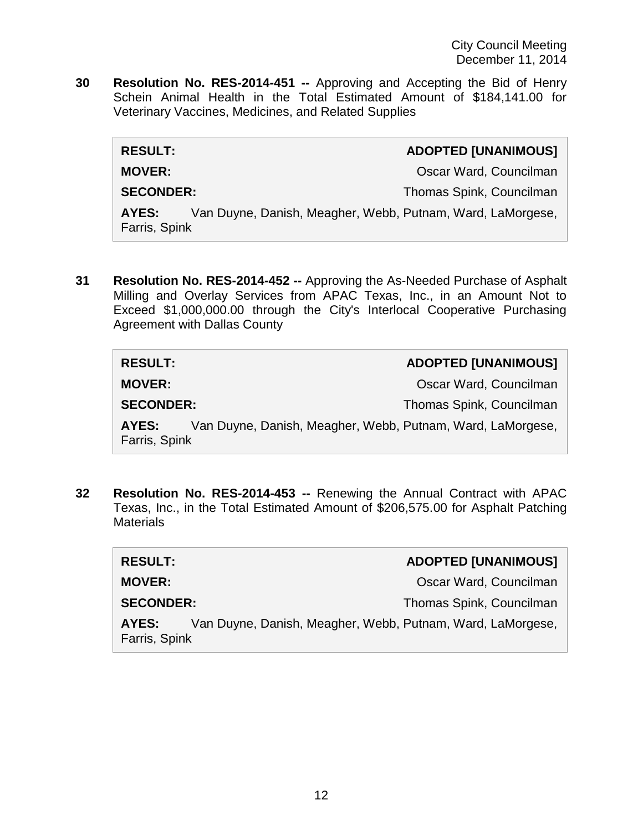**30 Resolution No. RES-2014-451 --** Approving and Accepting the Bid of Henry Schein Animal Health in the Total Estimated Amount of \$184,141.00 for Veterinary Vaccines, Medicines, and Related Supplies

| <b>RESULT:</b>                                                                       | <b>ADOPTED [UNANIMOUS]</b> |
|--------------------------------------------------------------------------------------|----------------------------|
| <b>MOVER:</b>                                                                        | Oscar Ward, Councilman     |
| <b>SECONDER:</b>                                                                     | Thomas Spink, Councilman   |
| Van Duyne, Danish, Meagher, Webb, Putnam, Ward, LaMorgese,<br>AYES:<br>Farris, Spink |                            |

**31 Resolution No. RES-2014-452 --** Approving the As-Needed Purchase of Asphalt Milling and Overlay Services from APAC Texas, Inc., in an Amount Not to Exceed \$1,000,000.00 through the City's Interlocal Cooperative Purchasing Agreement with Dallas County

| <b>RESULT:</b>                                                                       | <b>ADOPTED [UNANIMOUS]</b> |
|--------------------------------------------------------------------------------------|----------------------------|
| <b>MOVER:</b>                                                                        | Oscar Ward, Councilman     |
| <b>SECONDER:</b>                                                                     | Thomas Spink, Councilman   |
| Van Duyne, Danish, Meagher, Webb, Putnam, Ward, LaMorgese,<br>AYES:<br>Farris, Spink |                            |

**32 Resolution No. RES-2014-453 --** Renewing the Annual Contract with APAC Texas, Inc., in the Total Estimated Amount of \$206,575.00 for Asphalt Patching **Materials** 

| <b>RESULT:</b>                                                                       | <b>ADOPTED [UNANIMOUS]</b> |
|--------------------------------------------------------------------------------------|----------------------------|
| <b>MOVER:</b>                                                                        | Oscar Ward, Councilman     |
| <b>SECONDER:</b>                                                                     | Thomas Spink, Councilman   |
| Van Duyne, Danish, Meagher, Webb, Putnam, Ward, LaMorgese,<br>AYES:<br>Farris, Spink |                            |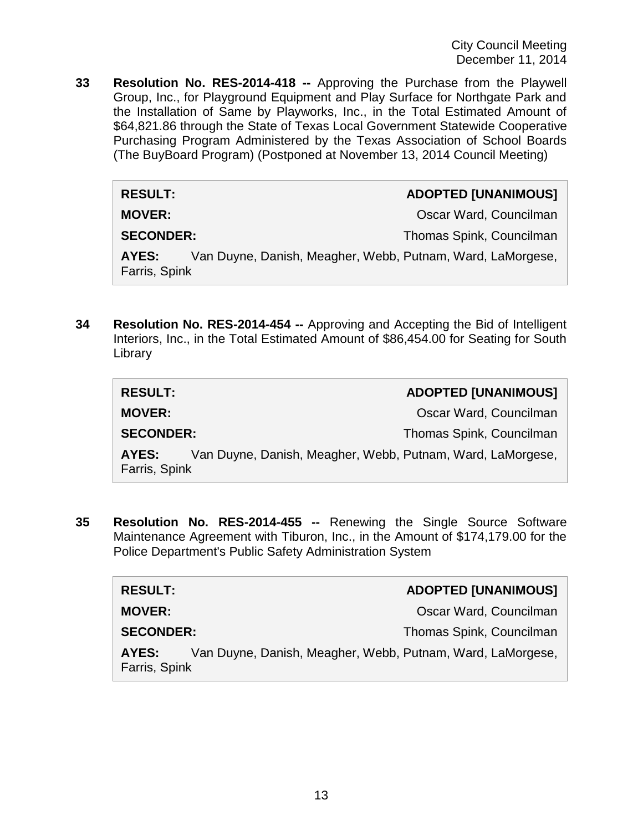**33 Resolution No. RES-2014-418 --** Approving the Purchase from the Playwell Group, Inc., for Playground Equipment and Play Surface for Northgate Park and the Installation of Same by Playworks, Inc., in the Total Estimated Amount of \$64,821.86 through the State of Texas Local Government Statewide Cooperative Purchasing Program Administered by the Texas Association of School Boards (The BuyBoard Program) (Postponed at November 13, 2014 Council Meeting)

| <b>RESULT:</b>                                                                       | <b>ADOPTED [UNANIMOUS]</b> |
|--------------------------------------------------------------------------------------|----------------------------|
| <b>MOVER:</b>                                                                        | Oscar Ward, Councilman     |
| <b>SECONDER:</b>                                                                     | Thomas Spink, Councilman   |
| Van Duyne, Danish, Meagher, Webb, Putnam, Ward, LaMorgese,<br>AYES:<br>Farris, Spink |                            |

**34 Resolution No. RES-2014-454 --** Approving and Accepting the Bid of Intelligent Interiors, Inc., in the Total Estimated Amount of \$86,454.00 for Seating for South Library

| <b>RESULT:</b>                                                                       | <b>ADOPTED [UNANIMOUS]</b> |
|--------------------------------------------------------------------------------------|----------------------------|
| <b>MOVER:</b>                                                                        | Oscar Ward, Councilman     |
| <b>SECONDER:</b>                                                                     | Thomas Spink, Councilman   |
| Van Duyne, Danish, Meagher, Webb, Putnam, Ward, LaMorgese,<br>AYES:<br>Farris, Spink |                            |

**35 Resolution No. RES-2014-455 --** Renewing the Single Source Software Maintenance Agreement with Tiburon, Inc., in the Amount of \$174,179.00 for the Police Department's Public Safety Administration System

| <b>RESULT:</b>                                                                       | <b>ADOPTED [UNANIMOUS]</b> |
|--------------------------------------------------------------------------------------|----------------------------|
| <b>MOVER:</b>                                                                        | Oscar Ward, Councilman     |
| <b>SECONDER:</b>                                                                     | Thomas Spink, Councilman   |
| Van Duyne, Danish, Meagher, Webb, Putnam, Ward, LaMorgese,<br>AYES:<br>Farris, Spink |                            |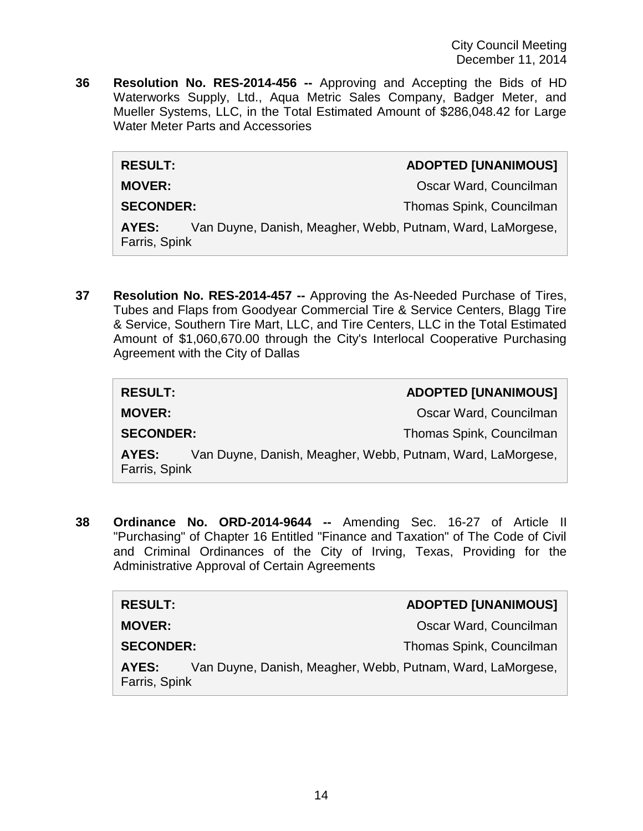**36 Resolution No. RES-2014-456 --** Approving and Accepting the Bids of HD Waterworks Supply, Ltd., Aqua Metric Sales Company, Badger Meter, and Mueller Systems, LLC, in the Total Estimated Amount of \$286,048.42 for Large Water Meter Parts and Accessories

| <b>RESULT:</b> | <b>ADOPTED [UNANIMOUS]</b> |
|----------------|----------------------------|
| <b>MOVER:</b>  | Oscar Ward, Councilman     |

**SECONDER:** Thomas Spink, Councilman

**AYES:** Van Duyne, Danish, Meagher, Webb, Putnam, Ward, LaMorgese, Farris, Spink

**37 Resolution No. RES-2014-457 --** Approving the As-Needed Purchase of Tires, Tubes and Flaps from Goodyear Commercial Tire & Service Centers, Blagg Tire & Service, Southern Tire Mart, LLC, and Tire Centers, LLC in the Total Estimated Amount of \$1,060,670.00 through the City's Interlocal Cooperative Purchasing Agreement with the City of Dallas

| <b>RESULT:</b>                                                                       | <b>ADOPTED [UNANIMOUS]</b> |
|--------------------------------------------------------------------------------------|----------------------------|
| <b>MOVER:</b>                                                                        | Oscar Ward, Councilman     |
| <b>SECONDER:</b>                                                                     | Thomas Spink, Councilman   |
| Van Duyne, Danish, Meagher, Webb, Putnam, Ward, LaMorgese,<br>AYES:<br>Farris, Spink |                            |

**38 Ordinance No. ORD-2014-9644 --** Amending Sec. 16-27 of Article II "Purchasing" of Chapter 16 Entitled "Finance and Taxation" of The Code of Civil and Criminal Ordinances of the City of Irving, Texas, Providing for the Administrative Approval of Certain Agreements

| <b>RESULT:</b>                                                                       |  | <b>ADOPTED [UNANIMOUS]</b> |
|--------------------------------------------------------------------------------------|--|----------------------------|
| <b>MOVER:</b>                                                                        |  | Oscar Ward, Councilman     |
| <b>SECONDER:</b>                                                                     |  | Thomas Spink, Councilman   |
| Van Duyne, Danish, Meagher, Webb, Putnam, Ward, LaMorgese,<br>AYES:<br>Farris, Spink |  |                            |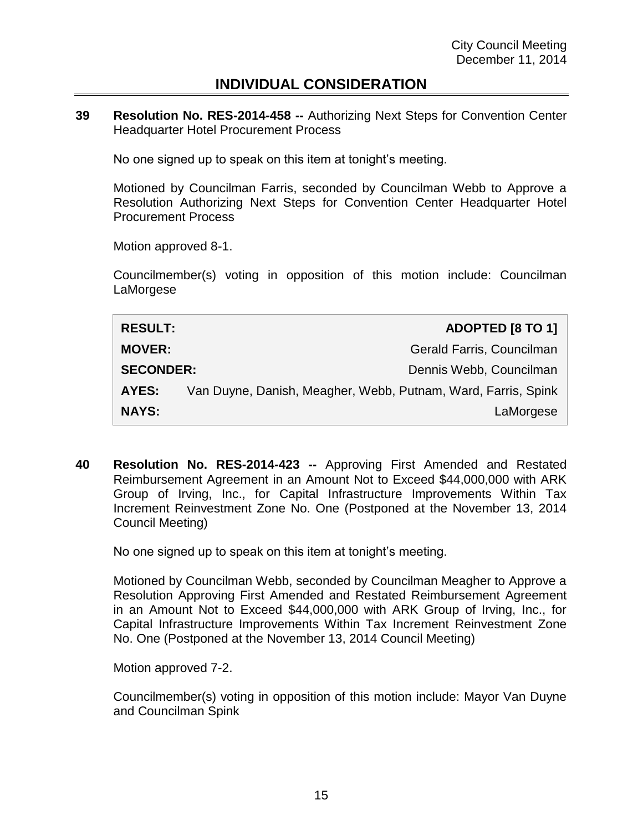## **INDIVIDUAL CONSIDERATION**

**39 Resolution No. RES-2014-458 --** Authorizing Next Steps for Convention Center Headquarter Hotel Procurement Process

No one signed up to speak on this item at tonight's meeting.

Motioned by Councilman Farris, seconded by Councilman Webb to Approve a Resolution Authorizing Next Steps for Convention Center Headquarter Hotel Procurement Process

Motion approved 8-1.

Councilmember(s) voting in opposition of this motion include: Councilman LaMorgese

| <b>RESULT:</b>   | <b>ADOPTED [8 TO 1]</b>                                       |
|------------------|---------------------------------------------------------------|
| <b>MOVER:</b>    | Gerald Farris, Councilman                                     |
| <b>SECONDER:</b> | Dennis Webb, Councilman                                       |
| AYES:            | Van Duyne, Danish, Meagher, Webb, Putnam, Ward, Farris, Spink |
| <b>NAYS:</b>     | LaMorgese                                                     |

**40 Resolution No. RES-2014-423 --** Approving First Amended and Restated Reimbursement Agreement in an Amount Not to Exceed \$44,000,000 with ARK Group of Irving, Inc., for Capital Infrastructure Improvements Within Tax Increment Reinvestment Zone No. One (Postponed at the November 13, 2014 Council Meeting)

No one signed up to speak on this item at tonight's meeting.

Motioned by Councilman Webb, seconded by Councilman Meagher to Approve a Resolution Approving First Amended and Restated Reimbursement Agreement in an Amount Not to Exceed \$44,000,000 with ARK Group of Irving, Inc., for Capital Infrastructure Improvements Within Tax Increment Reinvestment Zone No. One (Postponed at the November 13, 2014 Council Meeting)

Motion approved 7-2.

Councilmember(s) voting in opposition of this motion include: Mayor Van Duyne and Councilman Spink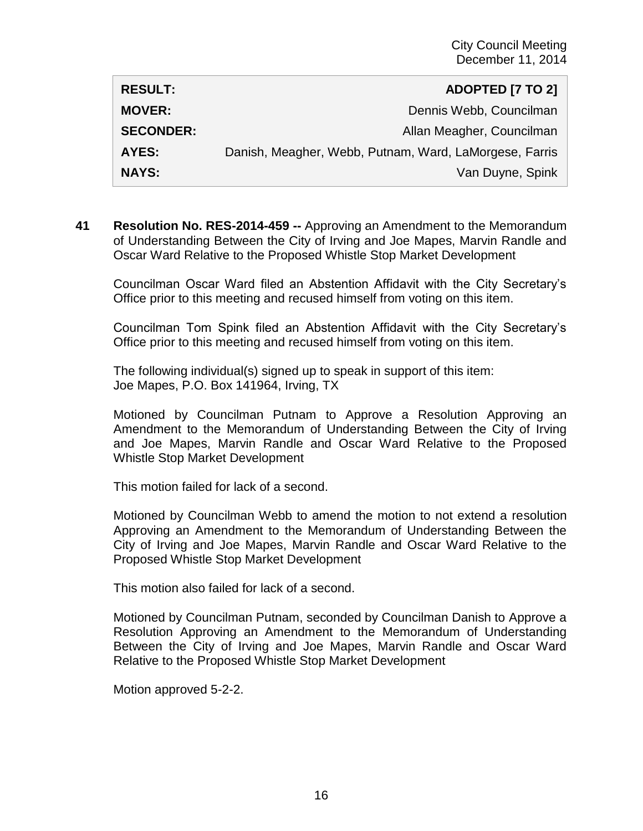| <b>RESULT:</b>   | <b>ADOPTED [7 TO 2]</b>                                |
|------------------|--------------------------------------------------------|
| <b>MOVER:</b>    | Dennis Webb, Councilman                                |
| <b>SECONDER:</b> | Allan Meagher, Councilman                              |
| <b>AYES:</b>     | Danish, Meagher, Webb, Putnam, Ward, LaMorgese, Farris |
| <b>NAYS:</b>     | Van Duyne, Spink                                       |

**41 Resolution No. RES-2014-459 --** Approving an Amendment to the Memorandum of Understanding Between the City of Irving and Joe Mapes, Marvin Randle and Oscar Ward Relative to the Proposed Whistle Stop Market Development

Councilman Oscar Ward filed an Abstention Affidavit with the City Secretary's Office prior to this meeting and recused himself from voting on this item.

Councilman Tom Spink filed an Abstention Affidavit with the City Secretary's Office prior to this meeting and recused himself from voting on this item.

The following individual(s) signed up to speak in support of this item: Joe Mapes, P.O. Box 141964, Irving, TX

Motioned by Councilman Putnam to Approve a Resolution Approving an Amendment to the Memorandum of Understanding Between the City of Irving and Joe Mapes, Marvin Randle and Oscar Ward Relative to the Proposed Whistle Stop Market Development

This motion failed for lack of a second.

Motioned by Councilman Webb to amend the motion to not extend a resolution Approving an Amendment to the Memorandum of Understanding Between the City of Irving and Joe Mapes, Marvin Randle and Oscar Ward Relative to the Proposed Whistle Stop Market Development

This motion also failed for lack of a second.

Motioned by Councilman Putnam, seconded by Councilman Danish to Approve a Resolution Approving an Amendment to the Memorandum of Understanding Between the City of Irving and Joe Mapes, Marvin Randle and Oscar Ward Relative to the Proposed Whistle Stop Market Development

Motion approved 5-2-2.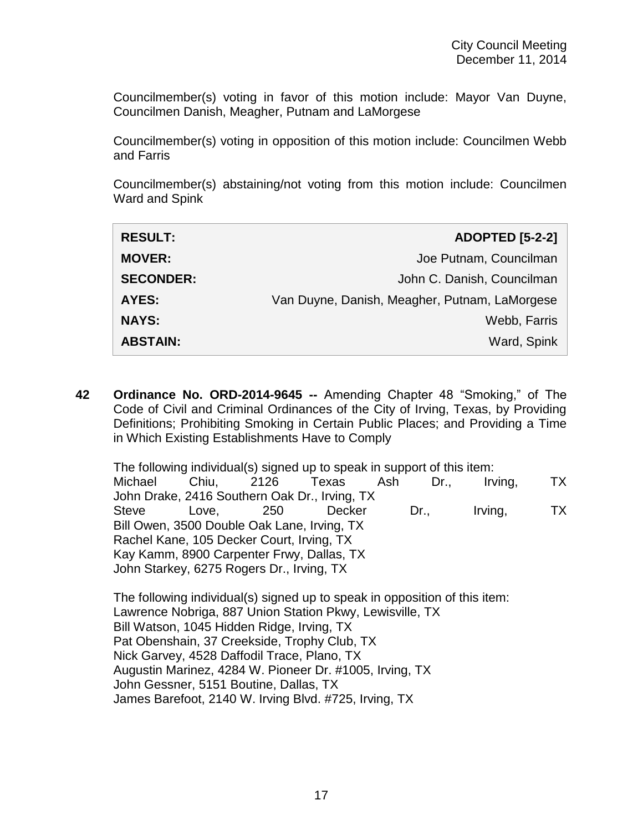Councilmember(s) voting in favor of this motion include: Mayor Van Duyne, Councilmen Danish, Meagher, Putnam and LaMorgese

Councilmember(s) voting in opposition of this motion include: Councilmen Webb and Farris

Councilmember(s) abstaining/not voting from this motion include: Councilmen Ward and Spink

| <b>RESULT:</b>   | <b>ADOPTED [5-2-2]</b>                        |
|------------------|-----------------------------------------------|
| <b>MOVER:</b>    | Joe Putnam, Councilman                        |
| <b>SECONDER:</b> | John C. Danish, Councilman                    |
| AYES:            | Van Duyne, Danish, Meagher, Putnam, LaMorgese |
| <b>NAYS:</b>     | Webb, Farris                                  |
| <b>ABSTAIN:</b>  | Ward, Spink                                   |

**42 Ordinance No. ORD-2014-9645 --** Amending Chapter 48 "Smoking," of The Code of Civil and Criminal Ordinances of the City of Irving, Texas, by Providing Definitions; Prohibiting Smoking in Certain Public Places; and Providing a Time in Which Existing Establishments Have to Comply

The following individual(s) signed up to speak in support of this item: Michael Chiu, 2126 Texas Ash Dr., Irving, TX John Drake, 2416 Southern Oak Dr., Irving, TX Steve Love, 250 Decker Dr., Irving, TX Bill Owen, 3500 Double Oak Lane, Irving, TX Rachel Kane, 105 Decker Court, Irving, TX Kay Kamm, 8900 Carpenter Frwy, Dallas, TX John Starkey, 6275 Rogers Dr., Irving, TX

The following individual(s) signed up to speak in opposition of this item: Lawrence Nobriga, 887 Union Station Pkwy, Lewisville, TX Bill Watson, 1045 Hidden Ridge, Irving, TX Pat Obenshain, 37 Creekside, Trophy Club, TX Nick Garvey, 4528 Daffodil Trace, Plano, TX Augustin Marinez, 4284 W. Pioneer Dr. #1005, Irving, TX John Gessner, 5151 Boutine, Dallas, TX James Barefoot, 2140 W. Irving Blvd. #725, Irving, TX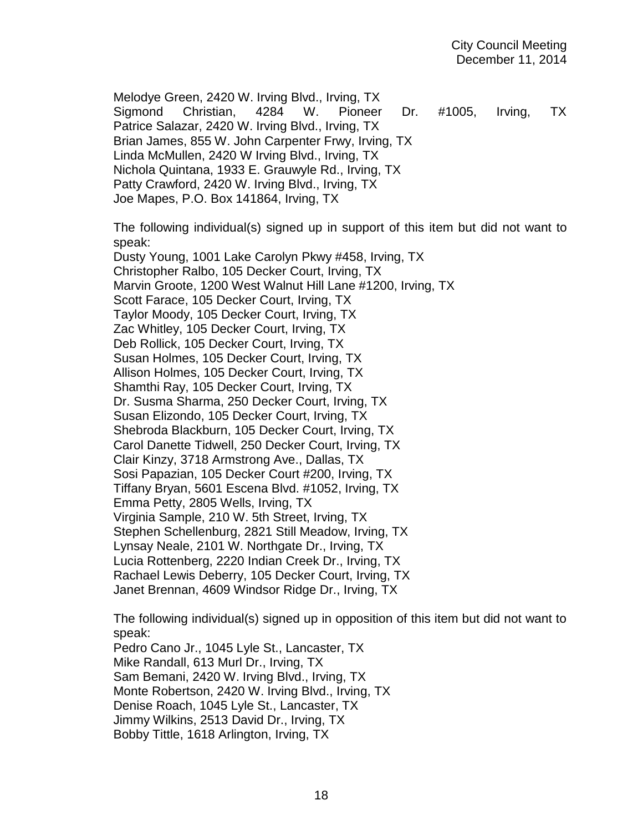Melodye Green, 2420 W. Irving Blvd., Irving, TX Sigmond Christian, 4284 W. Pioneer Dr. #1005, Irving, TX Patrice Salazar, 2420 W. Irving Blvd., Irving, TX Brian James, 855 W. John Carpenter Frwy, Irving, TX Linda McMullen, 2420 W Irving Blvd., Irving, TX Nichola Quintana, 1933 E. Grauwyle Rd., Irving, TX Patty Crawford, 2420 W. Irving Blvd., Irving, TX Joe Mapes, P.O. Box 141864, Irving, TX

The following individual(s) signed up in support of this item but did not want to speak:

Dusty Young, 1001 Lake Carolyn Pkwy #458, Irving, TX Christopher Ralbo, 105 Decker Court, Irving, TX Marvin Groote, 1200 West Walnut Hill Lane #1200, Irving, TX Scott Farace, 105 Decker Court, Irving, TX Taylor Moody, 105 Decker Court, Irving, TX Zac Whitley, 105 Decker Court, Irving, TX Deb Rollick, 105 Decker Court, Irving, TX Susan Holmes, 105 Decker Court, Irving, TX Allison Holmes, 105 Decker Court, Irving, TX Shamthi Ray, 105 Decker Court, Irving, TX Dr. Susma Sharma, 250 Decker Court, Irving, TX Susan Elizondo, 105 Decker Court, Irving, TX Shebroda Blackburn, 105 Decker Court, Irving, TX Carol Danette Tidwell, 250 Decker Court, Irving, TX Clair Kinzy, 3718 Armstrong Ave., Dallas, TX Sosi Papazian, 105 Decker Court #200, Irving, TX Tiffany Bryan, 5601 Escena Blvd. #1052, Irving, TX Emma Petty, 2805 Wells, Irving, TX Virginia Sample, 210 W. 5th Street, Irving, TX Stephen Schellenburg, 2821 Still Meadow, Irving, TX Lynsay Neale, 2101 W. Northgate Dr., Irving, TX Lucia Rottenberg, 2220 Indian Creek Dr., Irving, TX Rachael Lewis Deberry, 105 Decker Court, Irving, TX Janet Brennan, 4609 Windsor Ridge Dr., Irving, TX

The following individual(s) signed up in opposition of this item but did not want to speak:

Pedro Cano Jr., 1045 Lyle St., Lancaster, TX Mike Randall, 613 Murl Dr., Irving, TX Sam Bemani, 2420 W. Irving Blvd., Irving, TX Monte Robertson, 2420 W. Irving Blvd., Irving, TX Denise Roach, 1045 Lyle St., Lancaster, TX Jimmy Wilkins, 2513 David Dr., Irving, TX Bobby Tittle, 1618 Arlington, Irving, TX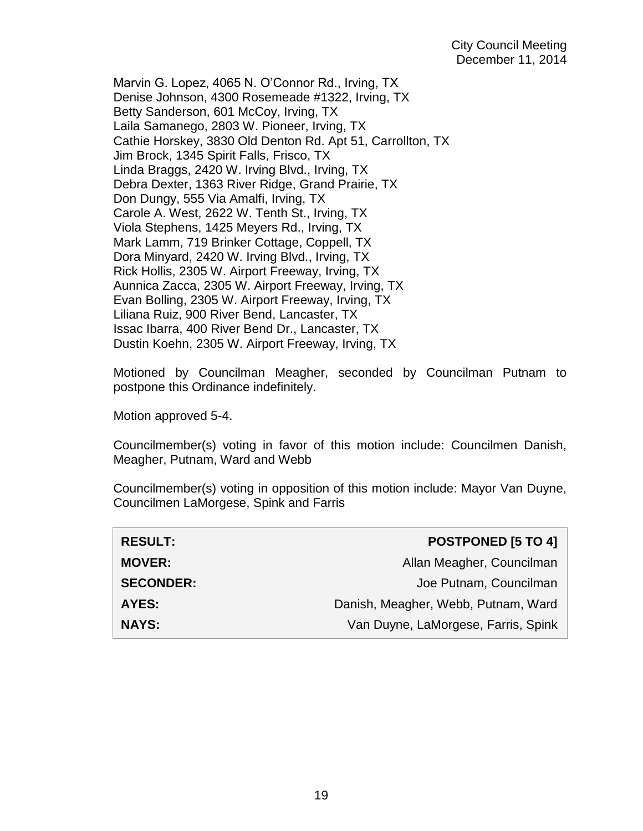Marvin G. Lopez, 4065 N. O'Connor Rd., Irving, TX Denise Johnson, 4300 Rosemeade #1322, Irving, TX Betty Sanderson, 601 McCoy, Irving, TX Laila Samanego, 2803 W. Pioneer, Irving, TX Cathie Horskey, 3830 Old Denton Rd. Apt 51, Carrollton, TX Jim Brock, 1345 Spirit Falls, Frisco, TX Linda Braggs, 2420 W. Irving Blvd., Irving, TX Debra Dexter, 1363 River Ridge, Grand Prairie, TX Don Dungy, 555 Via Amalfi, Irving, TX Carole A. West, 2622 W. Tenth St., Irving, TX Viola Stephens, 1425 Meyers Rd., Irving, TX Mark Lamm, 719 Brinker Cottage, Coppell, TX Dora Minyard, 2420 W. Irving Blvd., Irving, TX Rick Hollis, 2305 W. Airport Freeway, Irving, TX Aunnica Zacca, 2305 W. Airport Freeway, Irving, TX Evan Bolling, 2305 W. Airport Freeway, Irving, TX Liliana Ruiz, 900 River Bend, Lancaster, TX Issac Ibarra, 400 River Bend Dr., Lancaster, TX Dustin Koehn, 2305 W. Airport Freeway, Irving, TX

Motioned by Councilman Meagher, seconded by Councilman Putnam to postpone this Ordinance indefinitely.

Motion approved 5-4.

Councilmember(s) voting in favor of this motion include: Councilmen Danish, Meagher, Putnam, Ward and Webb

Councilmember(s) voting in opposition of this motion include: Mayor Van Duyne, Councilmen LaMorgese, Spink and Farris

| <b>RESULT:</b>   | <b>POSTPONED [5 TO 4]</b>           |
|------------------|-------------------------------------|
| <b>MOVER:</b>    | Allan Meagher, Councilman           |
| <b>SECONDER:</b> | Joe Putnam, Councilman              |
| <b>AYES:</b>     | Danish, Meagher, Webb, Putnam, Ward |
| <b>NAYS:</b>     | Van Duyne, LaMorgese, Farris, Spink |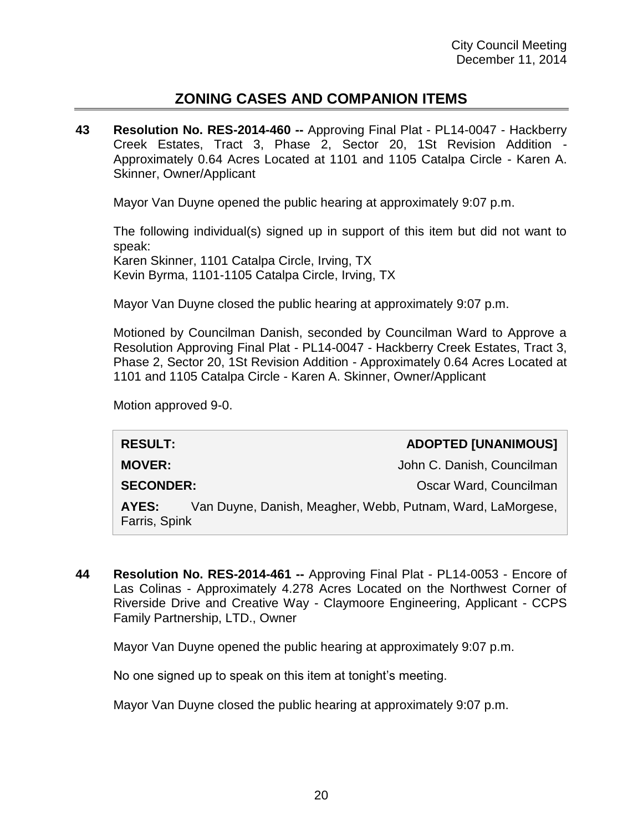# **ZONING CASES AND COMPANION ITEMS**

**43 Resolution No. RES-2014-460 --** Approving Final Plat - PL14-0047 - Hackberry Creek Estates, Tract 3, Phase 2, Sector 20, 1St Revision Addition - Approximately 0.64 Acres Located at 1101 and 1105 Catalpa Circle - Karen A. Skinner, Owner/Applicant

Mayor Van Duyne opened the public hearing at approximately 9:07 p.m.

The following individual(s) signed up in support of this item but did not want to speak: Karen Skinner, 1101 Catalpa Circle, Irving, TX Kevin Byrma, 1101-1105 Catalpa Circle, Irving, TX

Mayor Van Duyne closed the public hearing at approximately 9:07 p.m.

Motioned by Councilman Danish, seconded by Councilman Ward to Approve a Resolution Approving Final Plat - PL14-0047 - Hackberry Creek Estates, Tract 3, Phase 2, Sector 20, 1St Revision Addition - Approximately 0.64 Acres Located at 1101 and 1105 Catalpa Circle - Karen A. Skinner, Owner/Applicant

Motion approved 9-0.

**RESULT: ADOPTED [UNANIMOUS]**

**MOVER:** John C. Danish, Councilman

**SECONDER:** Oscar Ward, Councilman

**AYES:** Van Duyne, Danish, Meagher, Webb, Putnam, Ward, LaMorgese, Farris, Spink

**44 Resolution No. RES-2014-461 --** Approving Final Plat - PL14-0053 - Encore of Las Colinas - Approximately 4.278 Acres Located on the Northwest Corner of Riverside Drive and Creative Way - Claymoore Engineering, Applicant - CCPS Family Partnership, LTD., Owner

Mayor Van Duyne opened the public hearing at approximately 9:07 p.m.

No one signed up to speak on this item at tonight's meeting.

Mayor Van Duyne closed the public hearing at approximately 9:07 p.m.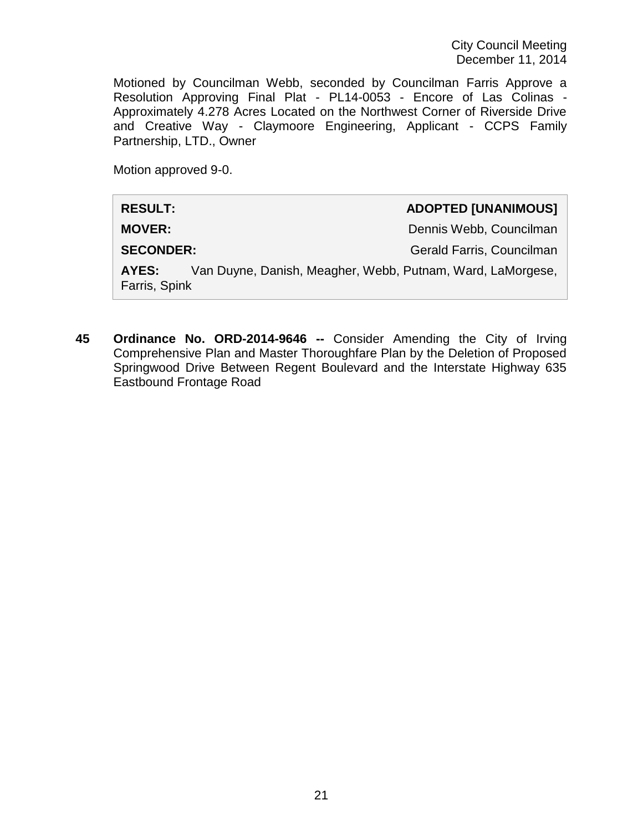Motioned by Councilman Webb, seconded by Councilman Farris Approve a Resolution Approving Final Plat - PL14-0053 - Encore of Las Colinas - Approximately 4.278 Acres Located on the Northwest Corner of Riverside Drive and Creative Way - Claymoore Engineering, Applicant - CCPS Family Partnership, LTD., Owner

Motion approved 9-0.

| <b>RESULT:</b>                                                                       |  | <b>ADOPTED [UNANIMOUS]</b> |
|--------------------------------------------------------------------------------------|--|----------------------------|
| <b>MOVER:</b>                                                                        |  | Dennis Webb, Councilman    |
| <b>SECONDER:</b>                                                                     |  | Gerald Farris, Councilman  |
| Van Duyne, Danish, Meagher, Webb, Putnam, Ward, LaMorgese,<br>AYES:<br>Farris, Spink |  |                            |

**45 Ordinance No. ORD-2014-9646 --** Consider Amending the City of Irving Comprehensive Plan and Master Thoroughfare Plan by the Deletion of Proposed Springwood Drive Between Regent Boulevard and the Interstate Highway 635 Eastbound Frontage Road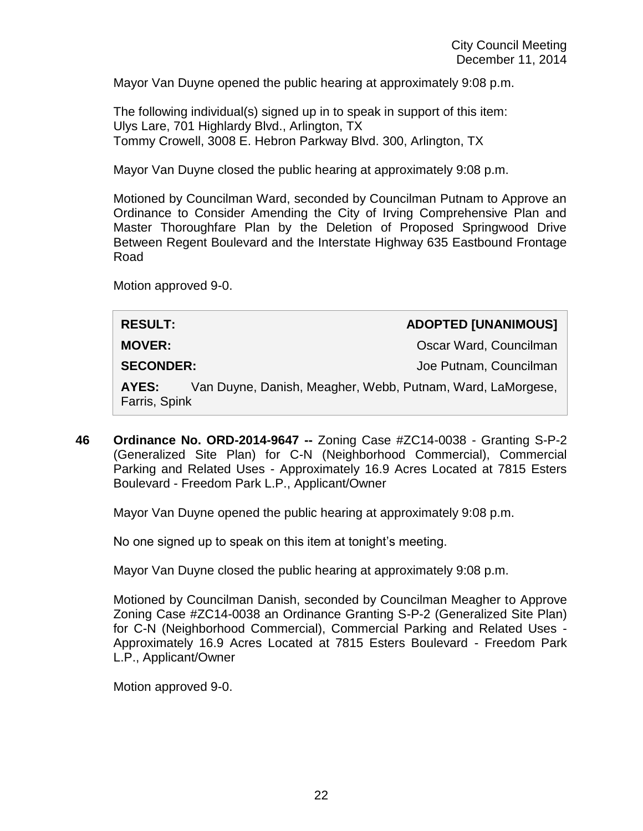Mayor Van Duyne opened the public hearing at approximately 9:08 p.m.

The following individual(s) signed up in to speak in support of this item: Ulys Lare, 701 Highlardy Blvd., Arlington, TX Tommy Crowell, 3008 E. Hebron Parkway Blvd. 300, Arlington, TX

Mayor Van Duyne closed the public hearing at approximately 9:08 p.m.

Motioned by Councilman Ward, seconded by Councilman Putnam to Approve an Ordinance to Consider Amending the City of Irving Comprehensive Plan and Master Thoroughfare Plan by the Deletion of Proposed Springwood Drive Between Regent Boulevard and the Interstate Highway 635 Eastbound Frontage Road

Motion approved 9-0.

| <b>RESULT:</b>                                                                       |  | <b>ADOPTED [UNANIMOUS]</b> |
|--------------------------------------------------------------------------------------|--|----------------------------|
| <b>MOVER:</b>                                                                        |  | Oscar Ward, Councilman     |
| <b>SECONDER:</b>                                                                     |  | Joe Putnam, Councilman     |
| Van Duyne, Danish, Meagher, Webb, Putnam, Ward, LaMorgese,<br>AYES:<br>Farris, Spink |  |                            |

**46 Ordinance No. ORD-2014-9647 --** Zoning Case #ZC14-0038 - Granting S-P-2 (Generalized Site Plan) for C-N (Neighborhood Commercial), Commercial Parking and Related Uses - Approximately 16.9 Acres Located at 7815 Esters Boulevard - Freedom Park L.P., Applicant/Owner

Mayor Van Duyne opened the public hearing at approximately 9:08 p.m.

No one signed up to speak on this item at tonight's meeting.

Mayor Van Duyne closed the public hearing at approximately 9:08 p.m.

Motioned by Councilman Danish, seconded by Councilman Meagher to Approve Zoning Case #ZC14-0038 an Ordinance Granting S-P-2 (Generalized Site Plan) for C-N (Neighborhood Commercial), Commercial Parking and Related Uses - Approximately 16.9 Acres Located at 7815 Esters Boulevard - Freedom Park L.P., Applicant/Owner

Motion approved 9-0.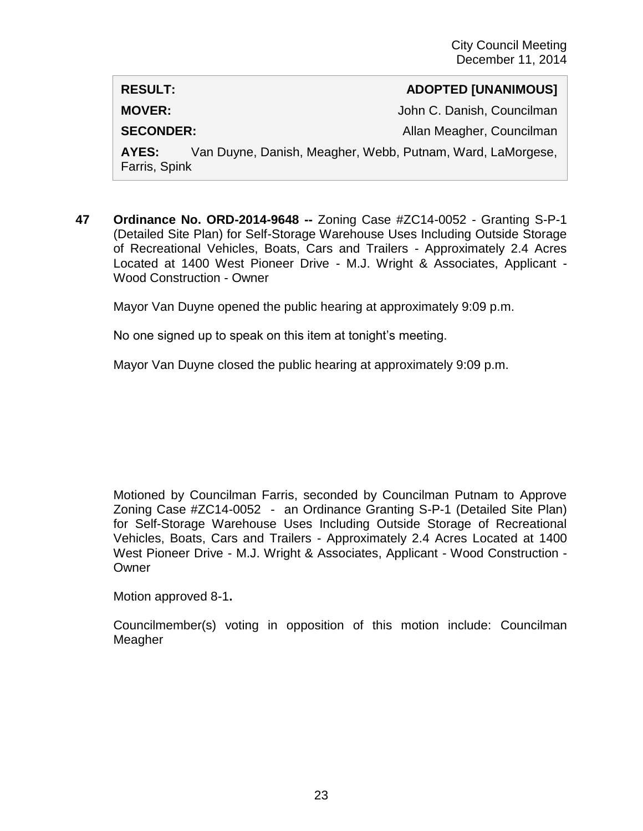#### **RESULT: ADOPTED [UNANIMOUS]**

**MOVER:**  $John C.$  Danish, Councilman

**SECONDER:** Allan Meagher, Councilman

**AYES:** Van Duyne, Danish, Meagher, Webb, Putnam, Ward, LaMorgese, Farris, Spink

**47 Ordinance No. ORD-2014-9648 --** Zoning Case #ZC14-0052 - Granting S-P-1 (Detailed Site Plan) for Self-Storage Warehouse Uses Including Outside Storage of Recreational Vehicles, Boats, Cars and Trailers - Approximately 2.4 Acres Located at 1400 West Pioneer Drive - M.J. Wright & Associates, Applicant - Wood Construction - Owner

Mayor Van Duyne opened the public hearing at approximately 9:09 p.m.

No one signed up to speak on this item at tonight's meeting.

Mayor Van Duyne closed the public hearing at approximately 9:09 p.m.

Motioned by Councilman Farris, seconded by Councilman Putnam to Approve Zoning Case #ZC14-0052 - an Ordinance Granting S-P-1 (Detailed Site Plan) for Self-Storage Warehouse Uses Including Outside Storage of Recreational Vehicles, Boats, Cars and Trailers - Approximately 2.4 Acres Located at 1400 West Pioneer Drive - M.J. Wright & Associates, Applicant - Wood Construction - **Owner** 

Motion approved 8-1**.**

Councilmember(s) voting in opposition of this motion include: Councilman Meagher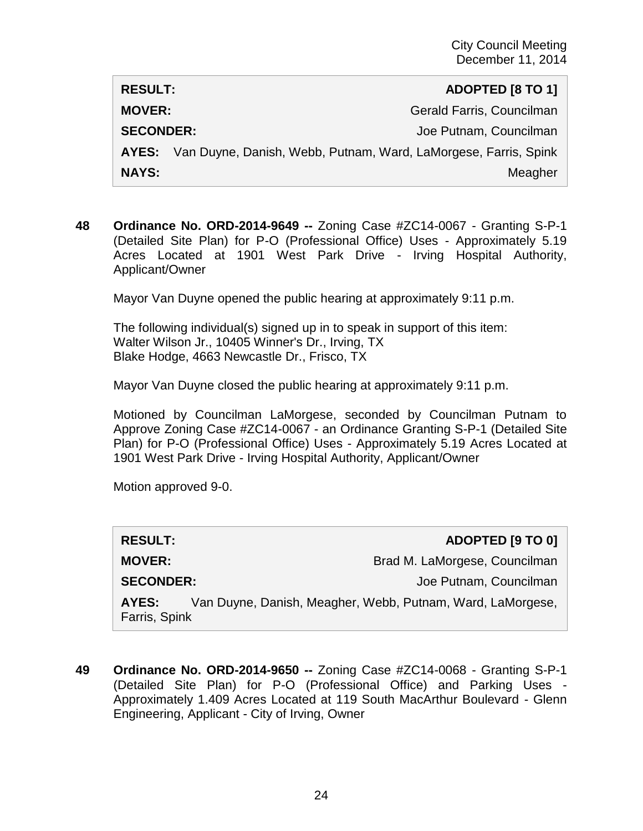**RESULT: ADOPTED [8 TO 1] MOVER:** Gerald Farris, Councilman **SECONDER:** Joe Putnam, Councilman **AYES:** Van Duyne, Danish, Webb, Putnam, Ward, LaMorgese, Farris, Spink **NAYS:** Meagher Meagher Meagher Meagher Meagher Meagher Meagher Meagher Meagher Meagher Meagher Meagher Meagher

**48 Ordinance No. ORD-2014-9649 --** Zoning Case #ZC14-0067 - Granting S-P-1 (Detailed Site Plan) for P-O (Professional Office) Uses - Approximately 5.19 Acres Located at 1901 West Park Drive - Irving Hospital Authority, Applicant/Owner

Mayor Van Duyne opened the public hearing at approximately 9:11 p.m.

The following individual(s) signed up in to speak in support of this item: Walter Wilson Jr., 10405 Winner's Dr., Irving, TX Blake Hodge, 4663 Newcastle Dr., Frisco, TX

Mayor Van Duyne closed the public hearing at approximately 9:11 p.m.

Motioned by Councilman LaMorgese, seconded by Councilman Putnam to Approve Zoning Case #ZC14-0067 - an Ordinance Granting S-P-1 (Detailed Site Plan) for P-O (Professional Office) Uses - Approximately 5.19 Acres Located at 1901 West Park Drive - Irving Hospital Authority, Applicant/Owner

Motion approved 9-0.

| <b>RESULT:</b>         | ADOPTED [9 TO 0]                                           |
|------------------------|------------------------------------------------------------|
| <b>MOVER:</b>          | Brad M. LaMorgese, Councilman                              |
| <b>SECONDER:</b>       | Joe Putnam, Councilman                                     |
| AYES:<br>Farris, Spink | Van Duyne, Danish, Meagher, Webb, Putnam, Ward, LaMorgese, |

**49 Ordinance No. ORD-2014-9650 --** Zoning Case #ZC14-0068 - Granting S-P-1 (Detailed Site Plan) for P-O (Professional Office) and Parking Uses - Approximately 1.409 Acres Located at 119 South MacArthur Boulevard - Glenn Engineering, Applicant - City of Irving, Owner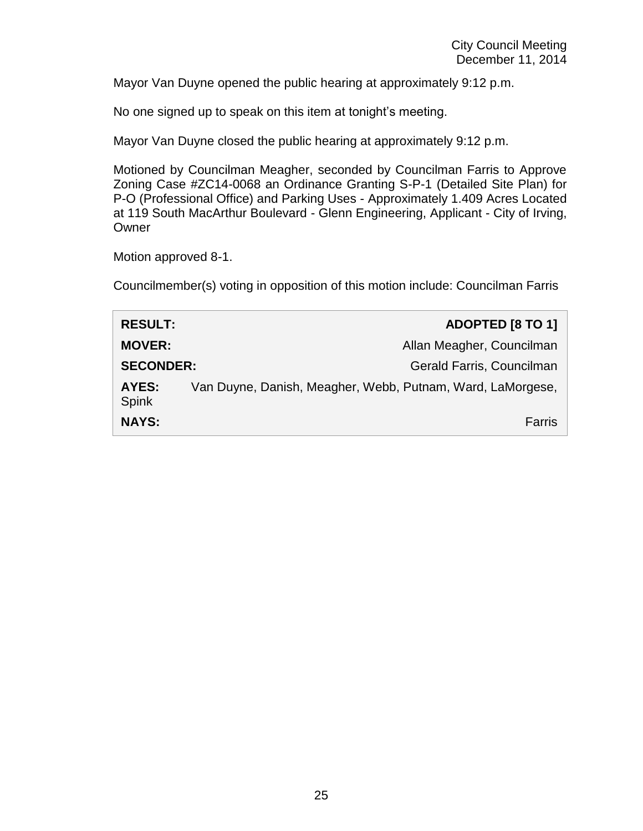Mayor Van Duyne opened the public hearing at approximately 9:12 p.m.

No one signed up to speak on this item at tonight's meeting.

Mayor Van Duyne closed the public hearing at approximately 9:12 p.m.

Motioned by Councilman Meagher, seconded by Councilman Farris to Approve Zoning Case #ZC14-0068 an Ordinance Granting S-P-1 (Detailed Site Plan) for P-O (Professional Office) and Parking Uses - Approximately 1.409 Acres Located at 119 South MacArthur Boulevard - Glenn Engineering, Applicant - City of Irving, Owner

Motion approved 8-1.

Councilmember(s) voting in opposition of this motion include: Councilman Farris

| <b>RESULT:</b>        |                                                            | ADOPTED [8 TO 1]          |
|-----------------------|------------------------------------------------------------|---------------------------|
| <b>MOVER:</b>         |                                                            | Allan Meagher, Councilman |
| <b>SECONDER:</b>      |                                                            | Gerald Farris, Councilman |
| AYES:<br><b>Spink</b> | Van Duyne, Danish, Meagher, Webb, Putnam, Ward, LaMorgese, |                           |
| <b>NAYS:</b>          |                                                            | Farris                    |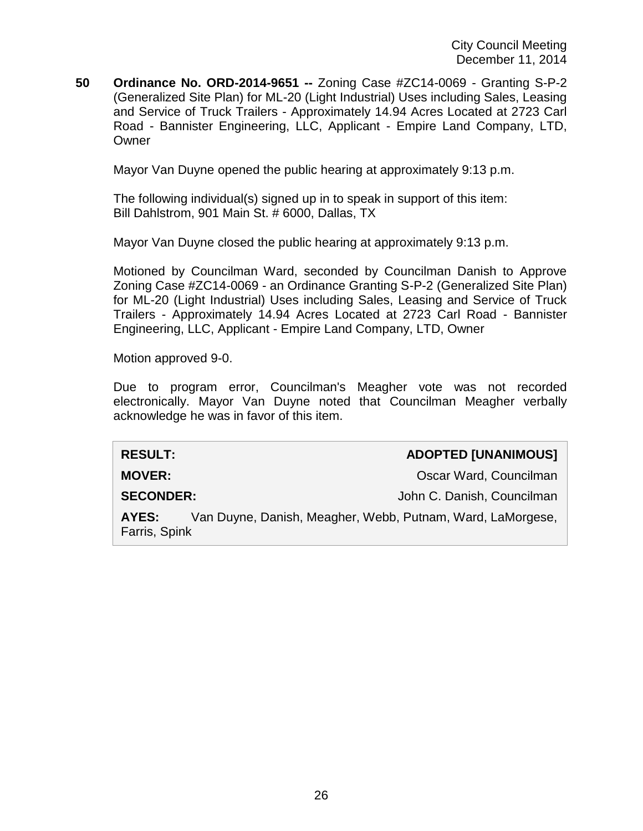**50 Ordinance No. ORD-2014-9651 --** Zoning Case #ZC14-0069 - Granting S-P-2 (Generalized Site Plan) for ML-20 (Light Industrial) Uses including Sales, Leasing and Service of Truck Trailers - Approximately 14.94 Acres Located at 2723 Carl Road - Bannister Engineering, LLC, Applicant - Empire Land Company, LTD, **Owner** 

Mayor Van Duyne opened the public hearing at approximately 9:13 p.m.

The following individual(s) signed up in to speak in support of this item: Bill Dahlstrom, 901 Main St. # 6000, Dallas, TX

Mayor Van Duyne closed the public hearing at approximately 9:13 p.m.

Motioned by Councilman Ward, seconded by Councilman Danish to Approve Zoning Case #ZC14-0069 - an Ordinance Granting S-P-2 (Generalized Site Plan) for ML-20 (Light Industrial) Uses including Sales, Leasing and Service of Truck Trailers - Approximately 14.94 Acres Located at 2723 Carl Road - Bannister Engineering, LLC, Applicant - Empire Land Company, LTD, Owner

Motion approved 9-0.

Due to program error, Councilman's Meagher vote was not recorded electronically. Mayor Van Duyne noted that Councilman Meagher verbally acknowledge he was in favor of this item.

| <b>RESULT:</b>   |                                                            | <b>ADOPTED [UNANIMOUS]</b> |
|------------------|------------------------------------------------------------|----------------------------|
| <b>MOVER:</b>    |                                                            | Oscar Ward, Councilman     |
| <b>SECONDER:</b> |                                                            | John C. Danish, Councilman |
| AYES:            | Van Duyne, Danish, Meagher, Webb, Putnam, Ward, LaMorgese, |                            |
| Farris, Spink    |                                                            |                            |